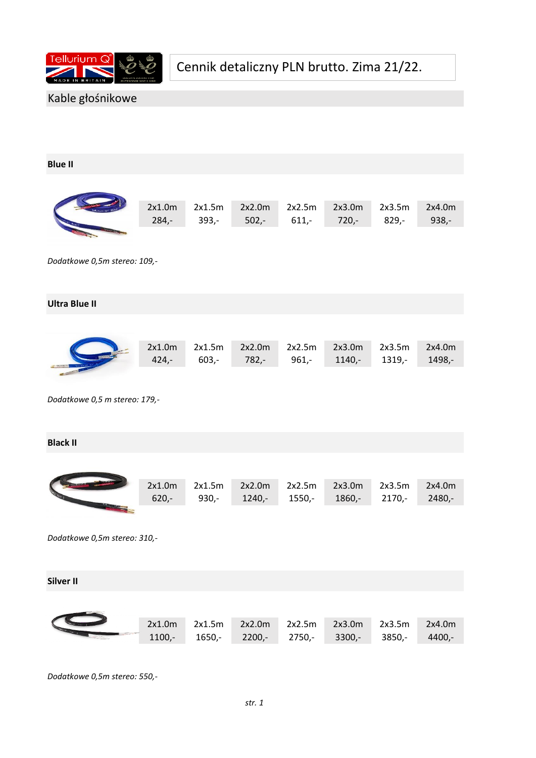

### Kable głośnikowe

| <b>Blue II</b>                |                   |                   |                    |                    |                    |                    |                    |
|-------------------------------|-------------------|-------------------|--------------------|--------------------|--------------------|--------------------|--------------------|
|                               |                   |                   |                    |                    |                    |                    |                    |
|                               | 2x1.0m<br>$284,-$ | 2x1.5m<br>$393,-$ | 2x2.0m<br>$502,-$  | 2x2.5m<br>$611,-$  | 2x3.0m<br>$720,-$  | 2x3.5m<br>$829,-$  | 2x4.0m<br>$938,-$  |
|                               |                   |                   |                    |                    |                    |                    |                    |
| Dodatkowe 0,5m stereo: 109,-  |                   |                   |                    |                    |                    |                    |                    |
| <b>Ultra Blue II</b>          |                   |                   |                    |                    |                    |                    |                    |
|                               |                   |                   |                    |                    |                    |                    |                    |
|                               | 2x1.0m<br>$424 -$ | 2x1.5m<br>$603,-$ | 2x2.0m<br>$782,-$  | 2x2.5m<br>$961,-$  | 2x3.0m<br>$1140,-$ | 2x3.5m<br>$1319,-$ | 2x4.0m<br>1498,-   |
|                               |                   |                   |                    |                    |                    |                    |                    |
| Dodatkowe 0,5 m stereo: 179,- |                   |                   |                    |                    |                    |                    |                    |
| <b>Black II</b>               |                   |                   |                    |                    |                    |                    |                    |
|                               |                   |                   |                    |                    |                    |                    |                    |
|                               | 2x1.0m<br>$620 -$ | 2x1.5m<br>$930,-$ | 2x2.0m<br>$1240,-$ | 2x2.5m<br>$1550,-$ | 2x3.0m<br>1860,-   | 2x3.5m<br>$2170,-$ | 2x4.0m<br>$2480,-$ |
|                               |                   |                   |                    |                    |                    |                    |                    |
| Dodatkowe 0,5m stereo: 310,-  |                   |                   |                    |                    |                    |                    |                    |
|                               |                   |                   |                    |                    |                    |                    |                    |
| Silver II                     |                   |                   |                    |                    |                    |                    |                    |
|                               |                   |                   |                    |                    |                    |                    |                    |
|                               | 2x1.0m<br>1100,-  | 2x1.5m<br>1650,-  | 2x2.0m<br>2200,-   | 2x2.5m<br>$2750,-$ | 2x3.0m<br>3300,-   | 2x3.5m<br>3850,-   | 2x4.0m<br>4400,-   |

*Dodatkowe 0,5m stereo: 550,-*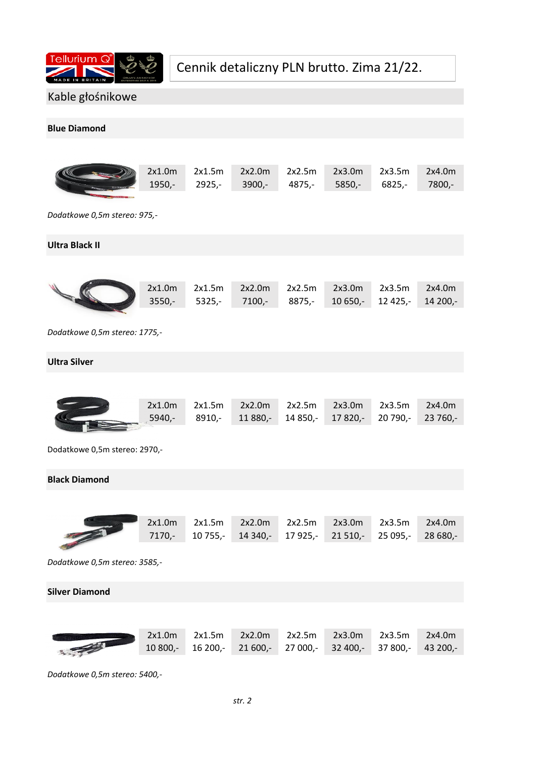

#### Kable głośnikowe

#### **Blue Diamond**

| 2x1.0m   | 2x1.5m | 2x2.0m   | 2x2.5m | 2x3.0m   | 2x3.5m   | 2x4.0m |
|----------|--------|----------|--------|----------|----------|--------|
| $1950 -$ | 2925,- | $3900 -$ | 4875.- | $5850 -$ | $6825 -$ | 7800.- |

*Dodatkowe 0,5m stereo: 975,-*

**Ultra Black II**

| 2x1.0m 2x1.5m 2x2.0m 2x2.5m 2x3.0m 2x3.5m |  |  |                                                     | 2x4.0m |
|-------------------------------------------|--|--|-----------------------------------------------------|--------|
|                                           |  |  | 3550,- 5325,- 7100,- 8875,- 10650,- 12425,- 14200,- |        |
|                                           |  |  |                                                     |        |

*Dodatkowe 0,5m stereo: 1775,-*

**Ultra Silver**

| 2x1.0m   | 2x1.5m | 2x2.0m | 2x2.5m | 2x3.0m                                        | 2x3.5m | 2x4.0m |
|----------|--------|--------|--------|-----------------------------------------------|--------|--------|
| $5940 -$ |        |        |        | 8910, 11 880, 14 850, 17 820, 20 790, 23 760, |        |        |

Dodatkowe 0,5m stereo: 2970,-

#### **Black Diamond**

|                   | 2x1.0m | 2x1.5m | 2x2.0m | 2x2.5m | 2x3.0m                                                       | 2x3.5m | 2x4.0m |
|-------------------|--------|--------|--------|--------|--------------------------------------------------------------|--------|--------|
|                   |        |        |        |        | 7170,- 10 755,- 14 340,- 17 925,- 21 510,- 25 095,- 28 680,- |        |        |
| <b>CONTRACTOR</b> |        |        |        |        |                                                              |        |        |

*Dodatkowe 0,5m stereo: 3585,-*

#### **Silver Diamond**

|  | $2x1.0m$ $2x1.5m$ $2x2.0m$ $2x2.5m$                                                 | 2x3.0m 2x3.5m | 2x4.0m |
|--|-------------------------------------------------------------------------------------|---------------|--------|
|  | $10\,800$ , $16\,200$ , $21\,600$ , $27\,000$ , $32\,400$ , $37\,800$ , $43\,200$ , |               |        |

*Dodatkowe 0,5m stereo: 5400,-*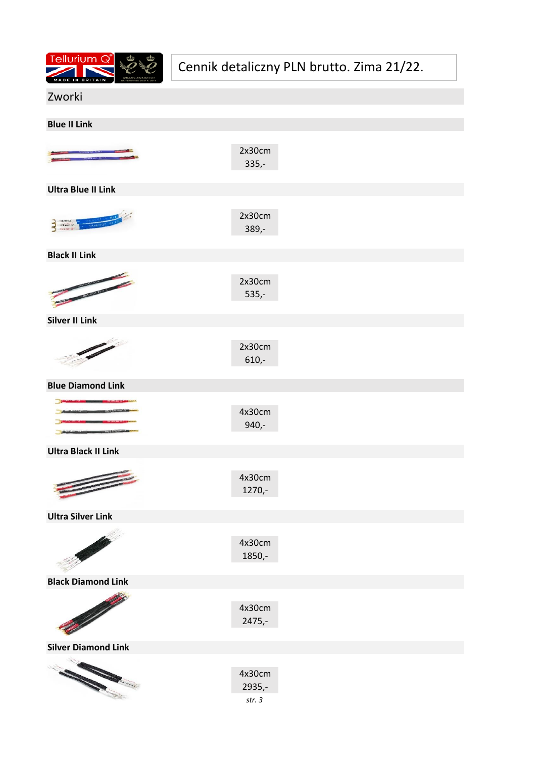

Zworki

| <b>Blue II Link</b>                                                                                                                                                                                                                                                                                                                           |                             |
|-----------------------------------------------------------------------------------------------------------------------------------------------------------------------------------------------------------------------------------------------------------------------------------------------------------------------------------------------|-----------------------------|
|                                                                                                                                                                                                                                                                                                                                               |                             |
|                                                                                                                                                                                                                                                                                                                                               | 2x30cm<br>$335,-$           |
| <b>Ultra Blue II Link</b>                                                                                                                                                                                                                                                                                                                     |                             |
| Televing<br>₹<br>inksion of                                                                                                                                                                                                                                                                                                                   | 2x30cm<br>389,-             |
| <b>Black II Link</b>                                                                                                                                                                                                                                                                                                                          |                             |
| Tomorrow Williams                                                                                                                                                                                                                                                                                                                             | 2x30cm<br>$535,-$           |
| <b>Silver II Link</b>                                                                                                                                                                                                                                                                                                                         |                             |
|                                                                                                                                                                                                                                                                                                                                               | 2x30cm<br>$610,-$           |
| <b>Blue Diamond Link</b>                                                                                                                                                                                                                                                                                                                      |                             |
|                                                                                                                                                                                                                                                                                                                                               | 4x30cm<br>$940,-$           |
| <b>Ultra Black II Link</b>                                                                                                                                                                                                                                                                                                                    |                             |
| $\begin{picture}(20,20) \put(0,0){\line(1,0){155}} \put(15,0){\line(1,0){155}} \put(15,0){\line(1,0){155}} \put(15,0){\line(1,0){155}} \put(15,0){\line(1,0){155}} \put(15,0){\line(1,0){155}} \put(15,0){\line(1,0){155}} \put(15,0){\line(1,0){155}} \put(15,0){\line(1,0){155}} \put(15,0){\line(1,0){155}} \put(15,0){\line(1,0){155}} \$ | 4x30cm<br>1270,-            |
| <b>Ultra Silver Link</b>                                                                                                                                                                                                                                                                                                                      |                             |
| <b>CONTRACTOR</b>                                                                                                                                                                                                                                                                                                                             | 4x30cm<br>1850,-            |
| <b>Black Diamond Link</b>                                                                                                                                                                                                                                                                                                                     |                             |
| <b>Contract Contract Contract Contract Contract Contract Contract Contract Contract Contract Contract Contract C</b>                                                                                                                                                                                                                          | 4x30cm<br>2475,-            |
| <b>Silver Diamond Link</b>                                                                                                                                                                                                                                                                                                                    |                             |
| <b>CONTRACTOR</b>                                                                                                                                                                                                                                                                                                                             | 4x30cm<br>2935,-<br>$ctr$ 2 |

*str. 3*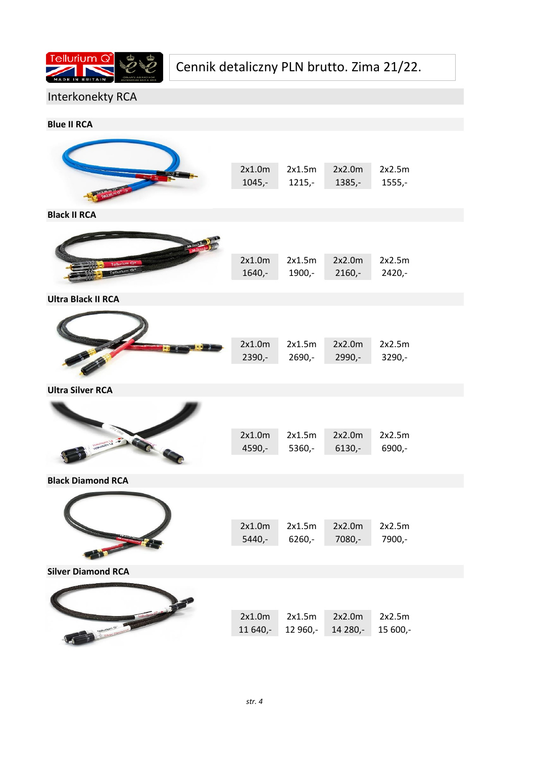

### Interkonekty RCA

| <b>Blue II RCA</b>        |          |          |          |          |
|---------------------------|----------|----------|----------|----------|
|                           | 2x1.0m   | 2x1.5m   | 2x2.0m   | 2x2.5m   |
|                           | $1045,-$ | $1215,-$ | $1385,-$ | $1555,-$ |
| <b>Black II RCA</b>       |          |          |          |          |
|                           | 2x1.0m   | 2x1.5m   | 2x2.0m   | 2x2.5m   |
|                           | 1640,-   | 1900,-   | $2160,-$ | $2420 -$ |
| <b>Ultra Black II RCA</b> |          |          |          |          |
|                           | 2x1.0m   | 2x1.5m   | 2x2.0m   | 2x2.5m   |
|                           | 2390,-   | 2690,-   | 2990,-   | $3290 -$ |
| <b>Ultra Silver RCA</b>   |          |          |          |          |
| <b>Nominal of 1</b>       | 2x1.0m   | 2x1.5m   | 2x2.0m   | 2x2.5m   |
|                           | 4590,-   | 5360,-   | 6130,-   | 6900,-   |
| <b>Black Diamond RCA</b>  |          |          |          |          |
|                           | 2x1.0m   | 2x1.5m   | 2x2.0m   | 2x2.5m   |
|                           | $5440,-$ | 6260,-   | 7080,-   | 7900,-   |
| <b>Silver Diamond RCA</b> |          |          |          |          |
| ilurlum Q                 | 2x1.0m   | 2x1.5m   | 2x2.0m   | 2x2.5m   |
|                           | 11 640,- | 12 960,- | 14 280,- | 15 600,- |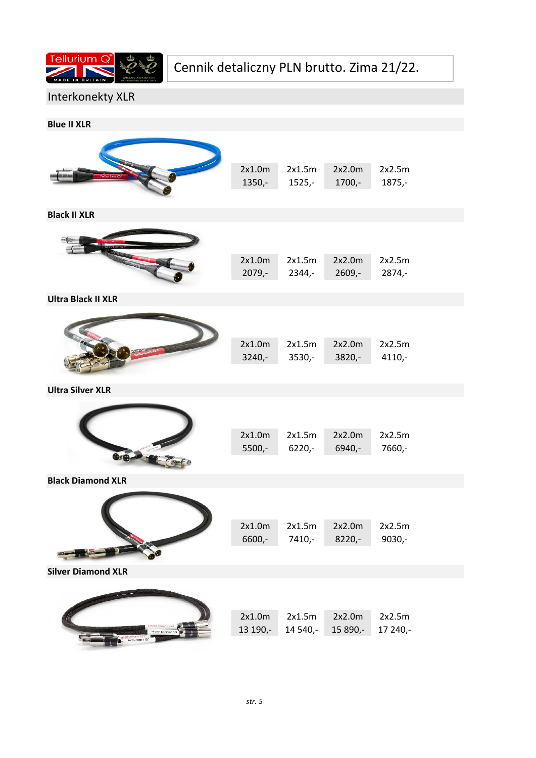

### Interkonekty XLR

| <b>Blue II XLR</b>        |          |          |          |          |
|---------------------------|----------|----------|----------|----------|
|                           | 2x1.0m   | 2x1.5m   | 2x2.0m   | 2x2.5m   |
|                           | $1350,-$ | $1525,-$ | 1700,-   | 1875,-   |
| <b>Black II XLR</b>       |          |          |          |          |
| <b>Ultra Black II XLR</b> | 2x1.0m   | 2x1.5m   | 2x2.0m   | 2x2.5m   |
|                           | $2079,-$ | $2344,-$ | $2609,-$ | $2874,-$ |
|                           |          |          |          |          |
|                           | 2x1.0m   | 2x1.5m   | 2x2.0m   | 2x2.5m   |
|                           | $3240,-$ | 3530,-   | $3820,-$ | $4110,-$ |
| <b>Ultra Silver XLR</b>   |          |          |          |          |
|                           | 2x1.0m   | 2x1.5m   | 2x2.0m   | 2x2.5m   |
|                           | 5500,-   | $6220,-$ | 6940,-   | 7660,-   |
| <b>Black Diamond XLR</b>  |          |          |          |          |
|                           | 2x1.0m   | 2x1.5m   | 2x2.0m   | 2x2.5m   |
|                           | 6600,-   | 7410,-   | 8220,-   | $9030,-$ |
| <b>Silver Diamond XLR</b> |          |          |          |          |
| Tellurium Q'              | 2x1.0m   | 2x1.5m   | 2x2.0m   | 2x2.5m   |
|                           | 13 190,- | 14 540,- | 15 890,- | 17 240,- |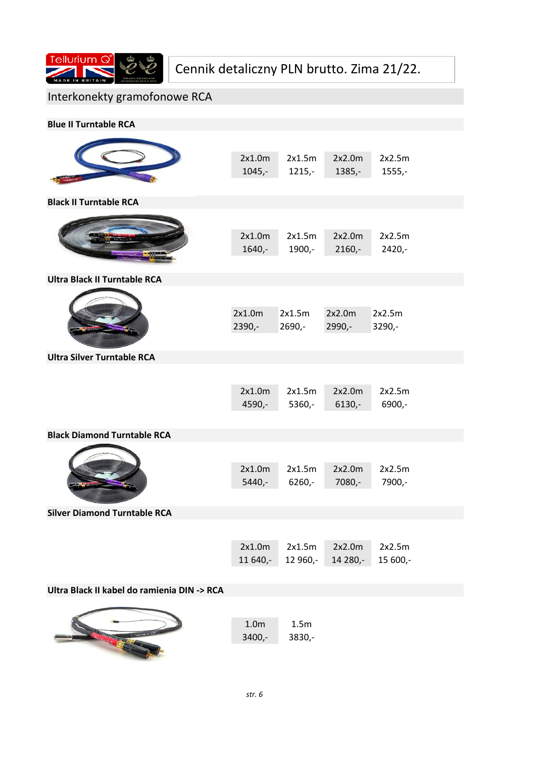

### Interkonekty gramofonowe RCA

| <b>Blue II Turntable RCA</b>                |                              |                    |                    |                    |  |
|---------------------------------------------|------------------------------|--------------------|--------------------|--------------------|--|
|                                             | 2x1.0m<br>$1045,-$           | 2x1.5m<br>$1215,-$ | 2x2.0m<br>$1385,-$ | 2x2.5m<br>$1555,-$ |  |
| <b>Black II Turntable RCA</b>               |                              |                    |                    |                    |  |
|                                             | 2x1.0m<br>$1640,-$           | 2x1.5m<br>1900,-   | 2x2.0m<br>$2160,-$ | 2x2.5m<br>$2420,-$ |  |
| <b>Ultra Black II Turntable RCA</b>         |                              |                    |                    |                    |  |
|                                             | 2x1.0m<br>2390,-             | 2x1.5m<br>$2690,-$ | 2x2.0m<br>2990,-   | 2x2.5m<br>$3290,-$ |  |
| <b>Ultra Silver Turntable RCA</b>           |                              |                    |                    |                    |  |
|                                             | 2x1.0m<br>4590,-             | 2x1.5m<br>5360,-   | 2x2.0m<br>$6130,-$ | 2x2.5m<br>6900,-   |  |
| <b>Black Diamond Turntable RCA</b>          |                              |                    |                    |                    |  |
|                                             | 2x1.0m<br>$5440,-$           | 2x1.5m<br>$6260,-$ | 2x2.0m<br>7080,-   | 2x2.5m<br>7900,-   |  |
| <b>Silver Diamond Turntable RCA</b>         |                              |                    |                    |                    |  |
|                                             | 2x1.0m<br>11 640,-           | 2x1.5m<br>12 960,- | 2x2.0m<br>14 280,- | 2x2.5m<br>15 600,- |  |
| Ultra Black II kabel do ramienia DIN -> RCA |                              |                    |                    |                    |  |
|                                             | 1.0 <sub>m</sub><br>$3400,-$ | 1.5m<br>3830,-     |                    |                    |  |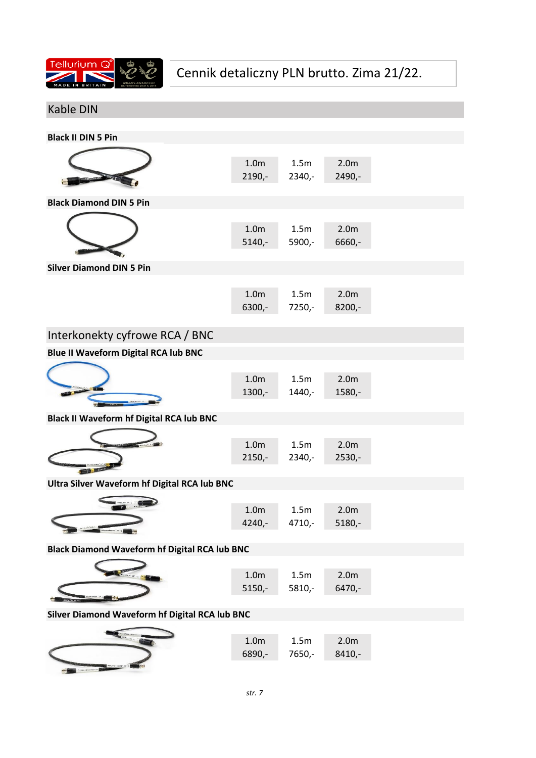

| <b>Kable DIN</b>                                     |                              |                  |                              |  |
|------------------------------------------------------|------------------------------|------------------|------------------------------|--|
| <b>Black II DIN 5 Pin</b>                            |                              |                  |                              |  |
|                                                      | 1.0 <sub>m</sub><br>2190,-   | 1.5m<br>$2340,-$ | 2.0 <sub>m</sub><br>2490,-   |  |
| <b>Black Diamond DIN 5 Pin</b>                       |                              |                  |                              |  |
|                                                      | 1.0 <sub>m</sub><br>$5140,-$ | 1.5m<br>5900,-   | 2.0 <sub>m</sub><br>6660,-   |  |
| <b>Silver Diamond DIN 5 Pin</b>                      |                              |                  |                              |  |
|                                                      | 1.0 <sub>m</sub><br>6300,-   | 1.5m<br>$7250,-$ | 2.0 <sub>m</sub><br>$8200,-$ |  |
| Interkonekty cyfrowe RCA / BNC                       |                              |                  |                              |  |
| <b>Blue II Waveform Digital RCA lub BNC</b>          |                              |                  |                              |  |
|                                                      | 1.0 <sub>m</sub><br>1300,-   | 1.5m<br>$1440,-$ | 2.0 <sub>m</sub><br>1580,-   |  |
| <b>Black II Waveform hf Digital RCA lub BNC</b>      |                              |                  |                              |  |
|                                                      | 1.0 <sub>m</sub><br>$2150,-$ | 1.5m<br>$2340,-$ | 2.0 <sub>m</sub><br>$2530,-$ |  |
| <b>Ultra Silver Waveform hf Digital RCA lub BNC</b>  |                              |                  |                              |  |
|                                                      | 1.0 <sub>m</sub><br>4240,-   | 1.5m<br>4710,-   | 2.0m<br>5180,-               |  |
| <b>Black Diamond Waveform hf Digital RCA lub BNC</b> |                              |                  |                              |  |
|                                                      | 1.0 <sub>m</sub><br>$5150,-$ | 1.5m<br>5810,-   | 2.0 <sub>m</sub><br>6470,-   |  |
| Silver Diamond Waveform hf Digital RCA lub BNC       |                              |                  |                              |  |
|                                                      | 1.0 <sub>m</sub><br>6890,-   | 1.5m<br>7650,-   | 2.0 <sub>m</sub><br>8410,-   |  |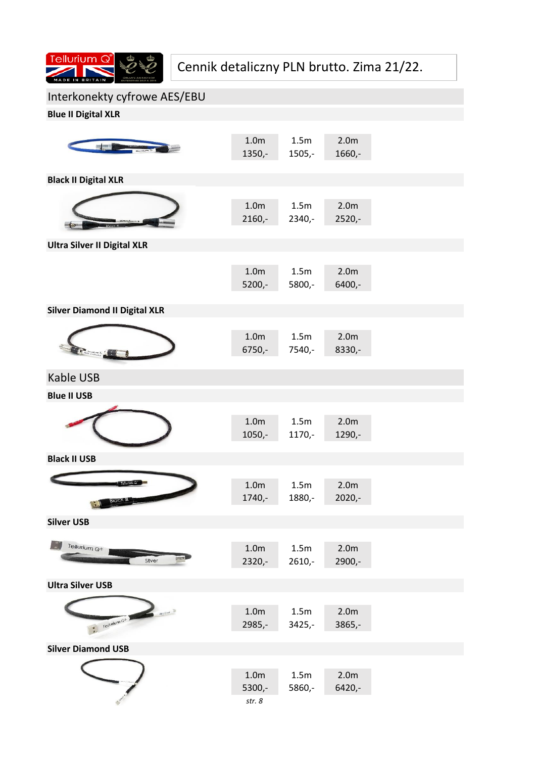

| Interkonekty cyfrowe AES/EBU         |                                             |                  |                              |  |
|--------------------------------------|---------------------------------------------|------------------|------------------------------|--|
| <b>Blue II Digital XLR</b>           |                                             |                  |                              |  |
|                                      | 1.0 <sub>m</sub><br>$1350,-$                | 1.5m<br>1505,-   | 2.0 <sub>m</sub><br>1660,-   |  |
| <b>Black II Digital XLR</b>          |                                             |                  |                              |  |
|                                      | 1.0 <sub>m</sub><br>$2160,-$                | 1.5m<br>$2340,-$ | 2.0 <sub>m</sub><br>2520,-   |  |
| <b>Ultra Silver II Digital XLR</b>   |                                             |                  |                              |  |
|                                      | 1.0 <sub>m</sub><br>5200,-                  | 1.5m<br>5800,-   | 2.0 <sub>m</sub><br>6400,-   |  |
| <b>Silver Diamond II Digital XLR</b> |                                             |                  |                              |  |
|                                      | 1.0 <sub>m</sub><br>$6750,-$                | 1.5m<br>7540,-   | 2.0 <sub>m</sub><br>8330,-   |  |
| Kable USB                            |                                             |                  |                              |  |
| <b>Blue II USB</b>                   |                                             |                  |                              |  |
|                                      | 1.0 <sub>m</sub><br>1050,-                  | 1.5m<br>1170,-   | 2.0 <sub>m</sub><br>1290,-   |  |
| <b>Black II USB</b>                  |                                             |                  |                              |  |
| Black II                             | 1.0 <sub>m</sub><br>1740,-                  | 1.5m<br>1880,-   | 2.0 <sub>m</sub><br>2020,-   |  |
| <b>Silver USB</b>                    |                                             |                  |                              |  |
| Tellurium Q <sup>®</sup><br>Silver   | 1.0 <sub>m</sub><br>2320,-                  | 1.5m<br>$2610,-$ | 2.0 <sub>m</sub><br>2900,-   |  |
| <b>Ultra Silver USB</b>              |                                             |                  |                              |  |
| umo Sver<br>Tellurium Q <sup>®</sup> | 1.0 <sub>m</sub><br>2985,-                  | 1.5m<br>3425,-   | 2.0 <sub>m</sub><br>3865,-   |  |
| <b>Silver Diamond USB</b>            |                                             |                  |                              |  |
|                                      | 1.0 <sub>m</sub><br>$5300,-$<br>$str. \; 8$ | 1.5m<br>5860,-   | 2.0 <sub>m</sub><br>$6420,-$ |  |